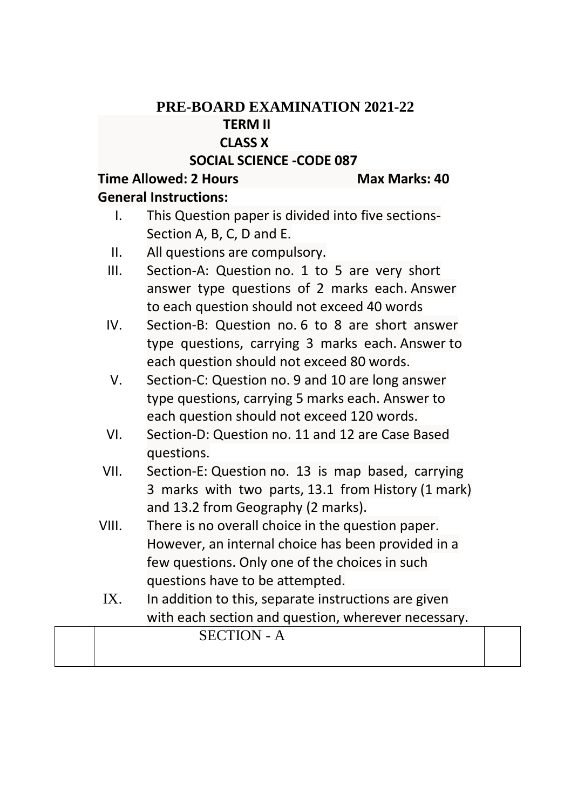## **PRE-BOARD EXAMINATION 2021-22 TERM II CLASS X**

## **SOCIAL SCIENCE -CODE 087**

## **Time Allowed: 2 Hours Max Marks: 40**

## **General Instructions:**

- I. This Question paper is divided into five sections-Section A, B, C, D and E.
- II. All questions are compulsory.
- III. Section-A: Question no. 1 to 5 are very short answer type questions of 2 marks each. Answer to each question should not exceed 40 words
- IV. Section-B: Question no. 6 to 8 are short answer type questions, carrying 3 marks each. Answer to each question should not exceed 80 words.
- V. Section-C: Question no. 9 and 10 are long answer type questions, carrying 5 marks each. Answer to each question should not exceed 120 words.
- VI. Section-D: Question no. 11 and 12 are Case Based questions.
- VII. Section-E: Question no. 13 is map based, carrying 3 marks with two parts, 13.1 from History (1 mark) and 13.2 from Geography (2 marks).
- VIII. There is no overall choice in the question paper. However, an internal choice has been provided in a few questions. Only one of the choices in such questions have to be attempted.
- IX. In addition to this, separate instructions are given with each section and question, wherever necessary.

| $T$ <sup>C</sup> $TIO$ <sup>N</sup> - A |  |
|-----------------------------------------|--|
|                                         |  |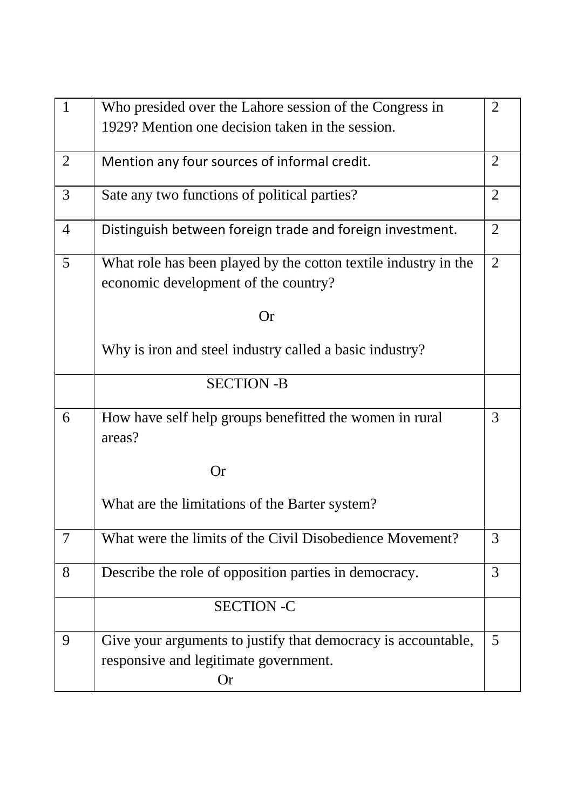| $\mathbf{1}$   | Who presided over the Lahore session of the Congress in                                                             | $\overline{2}$ |
|----------------|---------------------------------------------------------------------------------------------------------------------|----------------|
|                | 1929? Mention one decision taken in the session.                                                                    |                |
| $\overline{2}$ | Mention any four sources of informal credit.                                                                        | $\overline{2}$ |
| 3              | Sate any two functions of political parties?                                                                        |                |
| $\overline{4}$ | Distinguish between foreign trade and foreign investment.                                                           | $\overline{2}$ |
| 5              | What role has been played by the cotton textile industry in the                                                     | $\overline{2}$ |
|                | economic development of the country?                                                                                |                |
|                | <b>Or</b>                                                                                                           |                |
|                | Why is iron and steel industry called a basic industry?                                                             |                |
|                | <b>SECTION -B</b>                                                                                                   |                |
| 6              | How have self help groups benefitted the women in rural<br>areas?                                                   | 3              |
|                | <b>Or</b>                                                                                                           |                |
|                | What are the limitations of the Barter system?                                                                      |                |
| $\overline{7}$ | What were the limits of the Civil Disobedience Movement?                                                            | 3              |
| 8              | Describe the role of opposition parties in democracy.                                                               | 3              |
|                | <b>SECTION -C</b>                                                                                                   |                |
| 9              | Give your arguments to justify that democracy is accountable,<br>responsive and legitimate government.<br><b>Or</b> | 5              |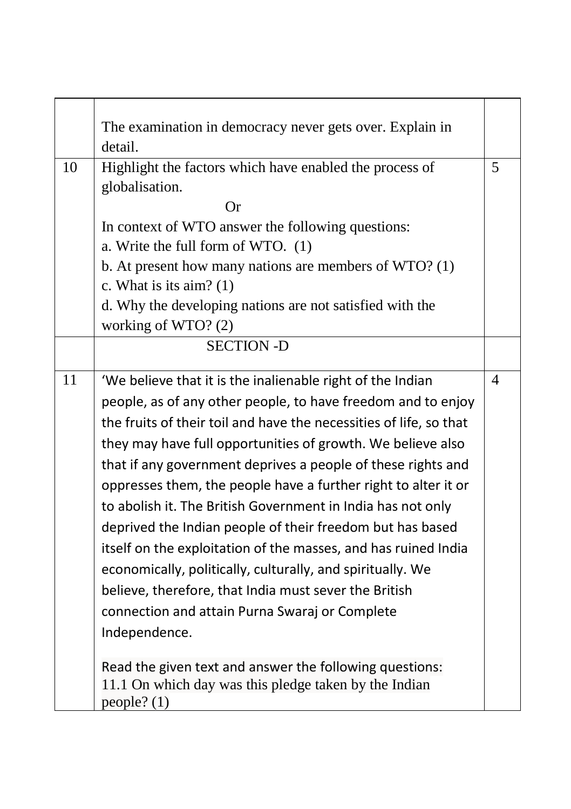|    | The examination in democracy never gets over. Explain in           |   |
|----|--------------------------------------------------------------------|---|
|    | detail.                                                            |   |
| 10 | Highlight the factors which have enabled the process of            | 5 |
|    | globalisation.                                                     |   |
|    | Оr                                                                 |   |
|    | In context of WTO answer the following questions:                  |   |
|    | a. Write the full form of WTO. (1)                                 |   |
|    | b. At present how many nations are members of $WTO$ ? (1)          |   |
|    | c. What is its aim? $(1)$                                          |   |
|    | d. Why the developing nations are not satisfied with the           |   |
|    | working of WTO? $(2)$                                              |   |
|    | <b>SECTION -D</b>                                                  |   |
| 11 |                                                                    |   |
|    | 'We believe that it is the inalienable right of the Indian         | 4 |
|    | people, as of any other people, to have freedom and to enjoy       |   |
|    | the fruits of their toil and have the necessities of life, so that |   |
|    | they may have full opportunities of growth. We believe also        |   |
|    | that if any government deprives a people of these rights and       |   |
|    | oppresses them, the people have a further right to alter it or     |   |
|    | to abolish it. The British Government in India has not only        |   |
|    | deprived the Indian people of their freedom but has based          |   |
|    | itself on the exploitation of the masses, and has ruined India     |   |
|    | economically, politically, culturally, and spiritually. We         |   |
|    | believe, therefore, that India must sever the British              |   |
|    | connection and attain Purna Swaraj or Complete                     |   |
|    | Independence.                                                      |   |
|    |                                                                    |   |
|    | Read the given text and answer the following questions:            |   |
|    | 11.1 On which day was this pledge taken by the Indian              |   |
|    | people? (1)                                                        |   |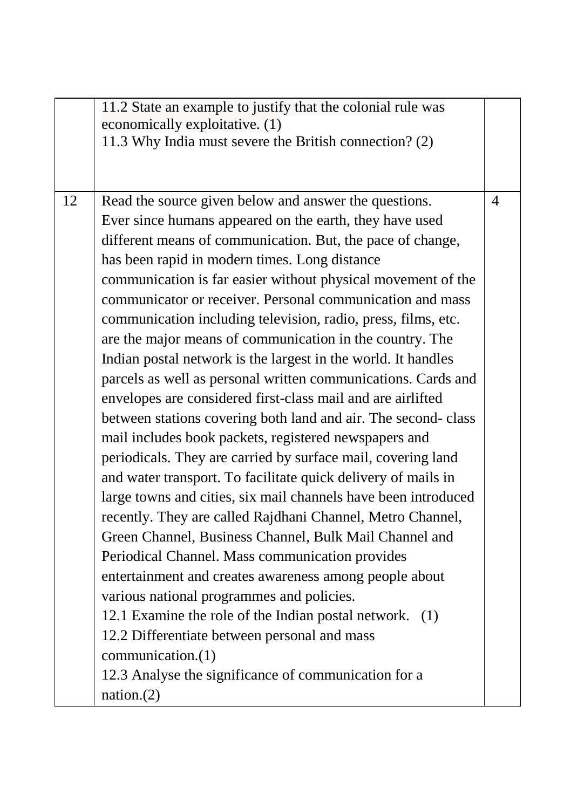|    | 11.2 State an example to justify that the colonial rule was    |   |
|----|----------------------------------------------------------------|---|
|    | economically exploitative. (1)                                 |   |
|    | 11.3 Why India must severe the British connection? (2)         |   |
|    |                                                                |   |
|    |                                                                |   |
| 12 | Read the source given below and answer the questions.          | 4 |
|    | Ever since humans appeared on the earth, they have used        |   |
|    | different means of communication. But, the pace of change,     |   |
|    | has been rapid in modern times. Long distance                  |   |
|    | communication is far easier without physical movement of the   |   |
|    | communicator or receiver. Personal communication and mass      |   |
|    | communication including television, radio, press, films, etc.  |   |
|    | are the major means of communication in the country. The       |   |
|    | Indian postal network is the largest in the world. It handles  |   |
|    | parcels as well as personal written communications. Cards and  |   |
|    | envelopes are considered first-class mail and are airlifted    |   |
|    | between stations covering both land and air. The second-class  |   |
|    | mail includes book packets, registered newspapers and          |   |
|    | periodicals. They are carried by surface mail, covering land   |   |
|    | and water transport. To facilitate quick delivery of mails in  |   |
|    | large towns and cities, six mail channels have been introduced |   |
|    | recently. They are called Rajdhani Channel, Metro Channel,     |   |
|    | Green Channel, Business Channel, Bulk Mail Channel and         |   |
|    | Periodical Channel. Mass communication provides                |   |
|    | entertainment and creates awareness among people about         |   |
|    | various national programmes and policies.                      |   |
|    | 12.1 Examine the role of the Indian postal network. (1)        |   |
|    | 12.2 Differentiate between personal and mass                   |   |
|    | communication.(1)                                              |   |
|    | 12.3 Analyse the significance of communication for a           |   |
|    |                                                                |   |
|    | nation.(2)                                                     |   |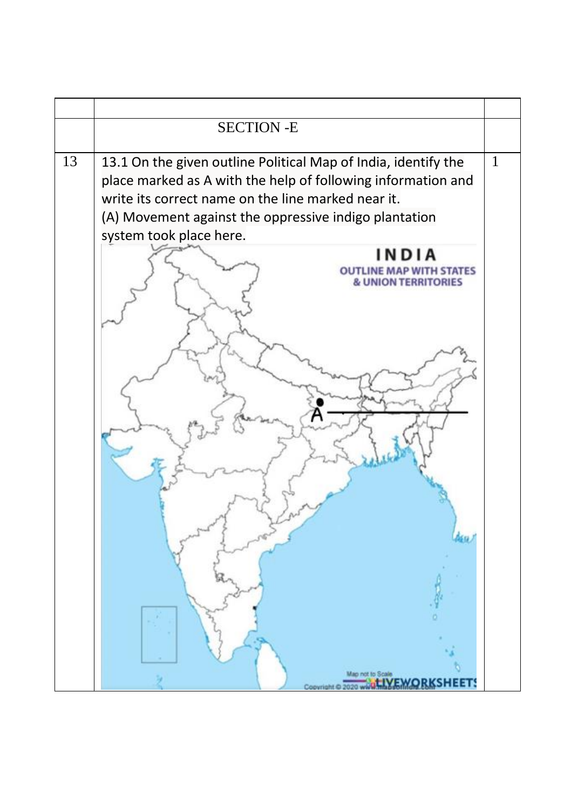